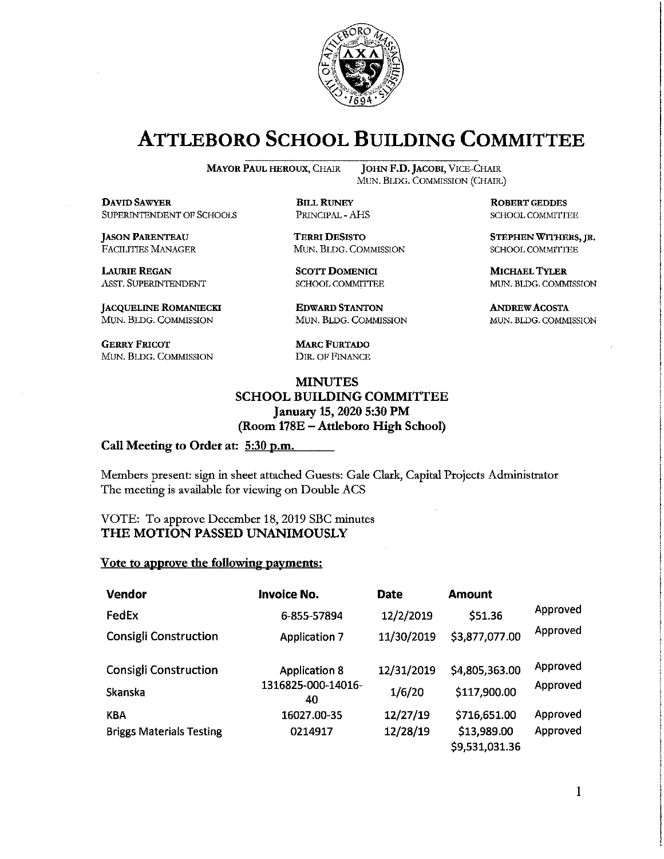

# **ATTLEBORO SCHOOL BUILDING COMMITTEE**

**MAYOR PAUL HEROUX, CHAIR** 

**DAVID SAWYER** SUPERINTENDENT OF SCHOOLS

**JASON PARENTEAU FACILITIES MANAGER** 

**LAURIE REGAN** ASST. SUPERINTENDENT

**JACQUELINE ROMANIECKI** MUN. BLDG. COMMISSION

**GERRY FRICOT** MUN. BLDG. COMMISSION

JOHN F.D. JACOBI, VICE-CHAIR MUN. BLDG. COMMISSION (CHAIR.)

**BILL RUNEY** PRINCIPAL - AHS

**TERRI DESISTO** MUN. BLDG. COMMISSION

**SCOTT DOMENICI SCHOOL COMMITTEE** 

**EDWARD STANTON** MUN. BLDG. COMMISSION

**MARC FURTADO** DIR. OF FINANCE

### **MINUTES SCHOOL BUILDING COMMITTEE** January 15, 2020 5:30 PM (Room 178E - Attleboro High School)

#### Call Meeting to Order at: 5:30 p.m.

Members present: sign in sheet attached Guests: Gale Clark, Capital Projects Administrator The meeting is available for viewing on Double ACS

VOTE: To approve December 18, 2019 SBC minutes THE MOTION PASSED UNANIMOUSLY

#### Vote to approve the following payments:

| Vendor                          | <b>Invoice No.</b>       | <b>Date</b> | <b>Amount</b>                 |          |
|---------------------------------|--------------------------|-------------|-------------------------------|----------|
| FedEx                           | 6-855-57894              | 12/2/2019   | \$51.36                       | Approved |
| <b>Consigli Construction</b>    | <b>Application 7</b>     | 11/30/2019  | \$3,877,077.00                | Approved |
| <b>Consigli Construction</b>    | <b>Application 8</b>     | 12/31/2019  | \$4,805,363.00                | Approved |
| Skanska                         | 1316825-000-14016-<br>40 | 1/6/20      | \$117,900.00                  | Approved |
| KBA                             | 16027.00-35              | 12/27/19    | \$716,651.00                  | Approved |
| <b>Briggs Materials Testing</b> | 0214917                  | 12/28/19    | \$13,989.00<br>\$9,531,031.36 | Approved |

**ROBERT GEDDES** SCHOOL COMMITTEE

STEPHEN WITHERS, JR. SCHOOL COMMITTEE

**MICHAEL TYLER** MUN. BLDG. COMMISSION

**ANDREW ACOSTA** MUN. BLDG. COMMISSION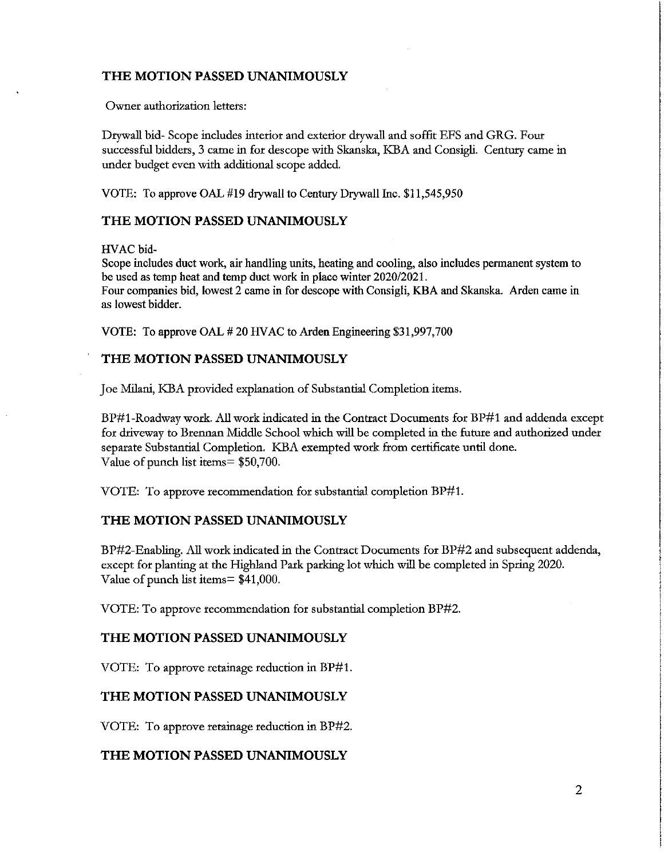## THE MOTION PASSED UNANIMOUSLY

Owner authorization letters:

Drywall bid-Scope includes interior and exterior drywall and soffit EFS and GRG. Four successful bidders, 3 came in for descope with Skanska, KBA and Consigli. Century came in under budget even with additional scope added.

VOTE: To approve OAL #19 drywall to Century Drywall Inc. \$11,545,950

#### THE MOTION PASSED UNANIMOUSLY

HVAC bid-

Scope includes duct work, air handling units, heating and cooling, also includes permanent system to be used as temp heat and temp duct work in place winter 2020/2021. Four companies bid, lowest 2 came in for descope with Consigli, KBA and Skanska. Arden came in as lowest bidder.

VOTE: To approve OAL #20 HVAC to Arden Engineering \$31,997,700

#### THE MOTION PASSED UNANIMOUSLY

Joe Milani, KBA provided explanation of Substantial Completion items.

BP#1-Roadway work. All work indicated in the Contract Documents for BP#1 and addenda except for driveway to Brennan Middle School which will be completed in the future and authorized under separate Substantial Completion. KBA exempted work from certificate until done. Value of punch list items = \$50,700.

VOTE: To approve recommendation for substantial completion BP#1.

#### THE MOTION PASSED UNANIMOUSLY

BP#2-Enabling. All work indicated in the Contract Documents for BP#2 and subsequent addenda, except for planting at the Highland Park parking lot which will be completed in Spring 2020. Value of punch list items= \$41,000.

VOTE: To approve recommendation for substantial completion BP#2.

#### THE MOTION PASSED UNANIMOUSLY

VOTE: To approve retainage reduction in BP#1.

# THE MOTION PASSED UNANIMOUSLY

VOTE: To approve retainage reduction in BP#2.

#### THE MOTION PASSED UNANIMOUSLY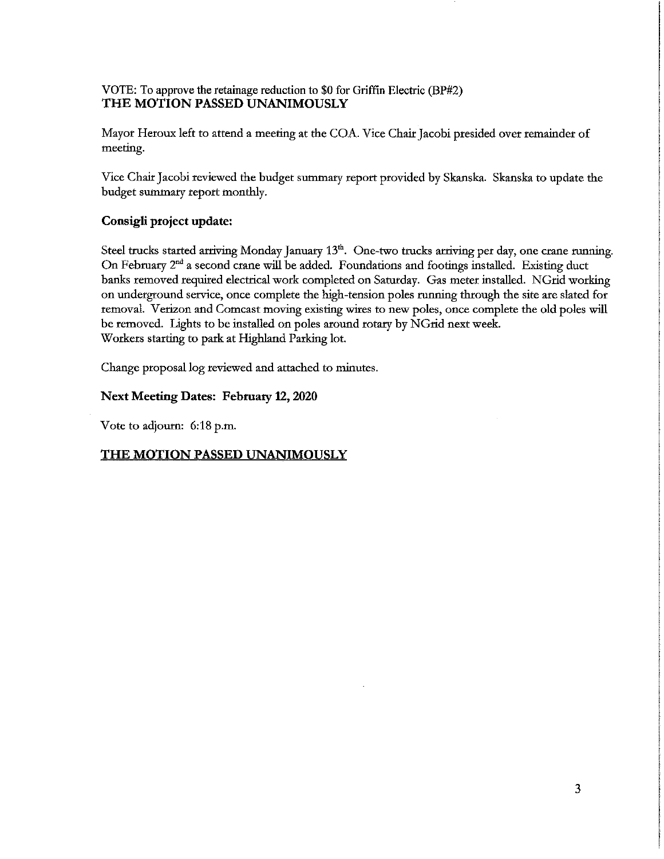# VOTE: To approve the retainage reduction to \$0 for Griffin Electric (BP#2) THE MOTION PASSED UNANIMOUSLY

Mayor Heroux left to attend a meeting at the COA. Vice Chair Jacobi presided over remainder of meeting.

Vice Chair Jacobi reviewed the budget summary report provided by Skanska. Skanska to update the budget summary report monthly.

# Consigli project update:

Steel trucks started arriving Monday January 13<sup>th</sup>. One-two trucks arriving per day, one crane running. On February 2<sup>nd</sup> a second crane will be added. Foundations and footings installed. Existing duct banks removed required electrical work completed on Saturday. Gas meter installed. NGrid working on underground service, once complete the high-tension poles running through the site are slated for removal. Verizon and Comcast moving existing wires to new poles, once complete the old poles will be removed. Lights to be installed on poles around rotary by NGrid next week. Workers starting to park at Highland Parking lot.

Change proposal log reviewed and attached to minutes.

# **Next Meeting Dates: February 12, 2020**

Vote to adjourn: 6:18 p.m.

# THE MOTION PASSED UNANIMOUSLY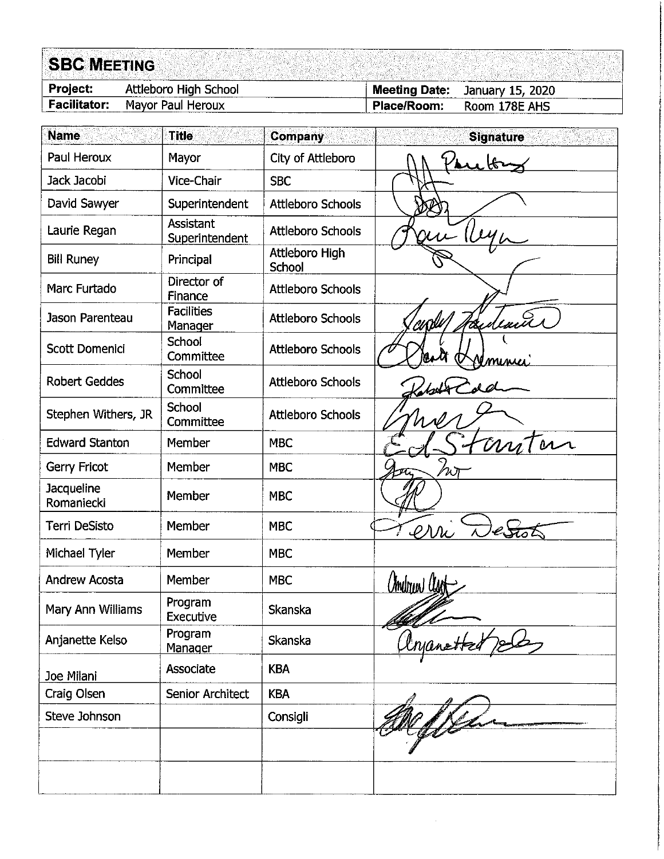| Attleboro High School<br><b>Meeting Date:</b><br>January 15, 2020<br><b>Facilitator:</b><br>Mayor Paul Heroux<br>Room 178E AHS<br>Place/Room:<br><b>Name</b><br><b>Title</b><br><b>Company</b><br><b>Signature</b><br>Paul Heroux<br>City of Attleboro<br>Mayor<br>Jack Jacobi<br>Vice-Chair<br><b>SBC</b><br>David Sawyer<br>Superintendent<br><b>Attleboro Schools</b><br>Assistant<br>Laurie Regan<br><b>Attleboro Schools</b><br>Superintendent<br>Attleboro High<br><b>Bill Runey</b><br>Principal<br>School<br>Director of<br>Marc Furtado<br><b>Attleboro Schools</b><br>Finance<br><b>Facilities</b><br>Jason Parenteau<br><b>Attleboro Schools</b><br>'CUD <sup>ill</sup><br>Manager<br>School<br><b>Scott Domenici</b><br><b>Attleboro Schools</b><br>Committee<br><u>minui</u><br>School<br><b>Robert Geddes</b><br><b>Attleboro Schools</b><br>Committee<br>School<br>Stephen Withers, JR<br><b>Attleboro Schools</b><br>Committee<br>trn<br><b>Edward Stanton</b><br>Member<br><b>MBC</b><br>Member<br><b>MBC</b><br>Gerry Fricot<br>$\nu$ ת<br>Jacqueline<br>Member<br><b>MBC</b><br>Romaniecki<br>Terri DeSisto<br>Member<br><b>MBC</b><br>env<br>Michael Tyler<br>Member<br><b>MBC</b> |  |
|--------------------------------------------------------------------------------------------------------------------------------------------------------------------------------------------------------------------------------------------------------------------------------------------------------------------------------------------------------------------------------------------------------------------------------------------------------------------------------------------------------------------------------------------------------------------------------------------------------------------------------------------------------------------------------------------------------------------------------------------------------------------------------------------------------------------------------------------------------------------------------------------------------------------------------------------------------------------------------------------------------------------------------------------------------------------------------------------------------------------------------------------------------------------------------------------------------|--|
|                                                                                                                                                                                                                                                                                                                                                                                                                                                                                                                                                                                                                                                                                                                                                                                                                                                                                                                                                                                                                                                                                                                                                                                                        |  |
|                                                                                                                                                                                                                                                                                                                                                                                                                                                                                                                                                                                                                                                                                                                                                                                                                                                                                                                                                                                                                                                                                                                                                                                                        |  |
|                                                                                                                                                                                                                                                                                                                                                                                                                                                                                                                                                                                                                                                                                                                                                                                                                                                                                                                                                                                                                                                                                                                                                                                                        |  |
|                                                                                                                                                                                                                                                                                                                                                                                                                                                                                                                                                                                                                                                                                                                                                                                                                                                                                                                                                                                                                                                                                                                                                                                                        |  |
|                                                                                                                                                                                                                                                                                                                                                                                                                                                                                                                                                                                                                                                                                                                                                                                                                                                                                                                                                                                                                                                                                                                                                                                                        |  |
|                                                                                                                                                                                                                                                                                                                                                                                                                                                                                                                                                                                                                                                                                                                                                                                                                                                                                                                                                                                                                                                                                                                                                                                                        |  |
|                                                                                                                                                                                                                                                                                                                                                                                                                                                                                                                                                                                                                                                                                                                                                                                                                                                                                                                                                                                                                                                                                                                                                                                                        |  |
|                                                                                                                                                                                                                                                                                                                                                                                                                                                                                                                                                                                                                                                                                                                                                                                                                                                                                                                                                                                                                                                                                                                                                                                                        |  |
|                                                                                                                                                                                                                                                                                                                                                                                                                                                                                                                                                                                                                                                                                                                                                                                                                                                                                                                                                                                                                                                                                                                                                                                                        |  |
|                                                                                                                                                                                                                                                                                                                                                                                                                                                                                                                                                                                                                                                                                                                                                                                                                                                                                                                                                                                                                                                                                                                                                                                                        |  |
|                                                                                                                                                                                                                                                                                                                                                                                                                                                                                                                                                                                                                                                                                                                                                                                                                                                                                                                                                                                                                                                                                                                                                                                                        |  |
|                                                                                                                                                                                                                                                                                                                                                                                                                                                                                                                                                                                                                                                                                                                                                                                                                                                                                                                                                                                                                                                                                                                                                                                                        |  |
|                                                                                                                                                                                                                                                                                                                                                                                                                                                                                                                                                                                                                                                                                                                                                                                                                                                                                                                                                                                                                                                                                                                                                                                                        |  |
|                                                                                                                                                                                                                                                                                                                                                                                                                                                                                                                                                                                                                                                                                                                                                                                                                                                                                                                                                                                                                                                                                                                                                                                                        |  |
|                                                                                                                                                                                                                                                                                                                                                                                                                                                                                                                                                                                                                                                                                                                                                                                                                                                                                                                                                                                                                                                                                                                                                                                                        |  |
|                                                                                                                                                                                                                                                                                                                                                                                                                                                                                                                                                                                                                                                                                                                                                                                                                                                                                                                                                                                                                                                                                                                                                                                                        |  |
|                                                                                                                                                                                                                                                                                                                                                                                                                                                                                                                                                                                                                                                                                                                                                                                                                                                                                                                                                                                                                                                                                                                                                                                                        |  |
| <b>Andrew Acosta</b><br>Member<br><b>MBC</b><br><u>Chrilogue Clast</u>                                                                                                                                                                                                                                                                                                                                                                                                                                                                                                                                                                                                                                                                                                                                                                                                                                                                                                                                                                                                                                                                                                                                 |  |
| Program<br>Mary Ann Williams<br>Skanska<br>Executive                                                                                                                                                                                                                                                                                                                                                                                                                                                                                                                                                                                                                                                                                                                                                                                                                                                                                                                                                                                                                                                                                                                                                   |  |
| Program<br>Anjanette Kelso<br>Skanska<br>Manager                                                                                                                                                                                                                                                                                                                                                                                                                                                                                                                                                                                                                                                                                                                                                                                                                                                                                                                                                                                                                                                                                                                                                       |  |
| Associate<br><b>KBA</b><br>Joe Milani                                                                                                                                                                                                                                                                                                                                                                                                                                                                                                                                                                                                                                                                                                                                                                                                                                                                                                                                                                                                                                                                                                                                                                  |  |
| Craig Olsen<br><b>Senior Architect</b><br><b>KBA</b>                                                                                                                                                                                                                                                                                                                                                                                                                                                                                                                                                                                                                                                                                                                                                                                                                                                                                                                                                                                                                                                                                                                                                   |  |
| Steve Johnson<br>Consigli                                                                                                                                                                                                                                                                                                                                                                                                                                                                                                                                                                                                                                                                                                                                                                                                                                                                                                                                                                                                                                                                                                                                                                              |  |
|                                                                                                                                                                                                                                                                                                                                                                                                                                                                                                                                                                                                                                                                                                                                                                                                                                                                                                                                                                                                                                                                                                                                                                                                        |  |
|                                                                                                                                                                                                                                                                                                                                                                                                                                                                                                                                                                                                                                                                                                                                                                                                                                                                                                                                                                                                                                                                                                                                                                                                        |  |

 $\mathcal{A}^{\mathcal{A}}$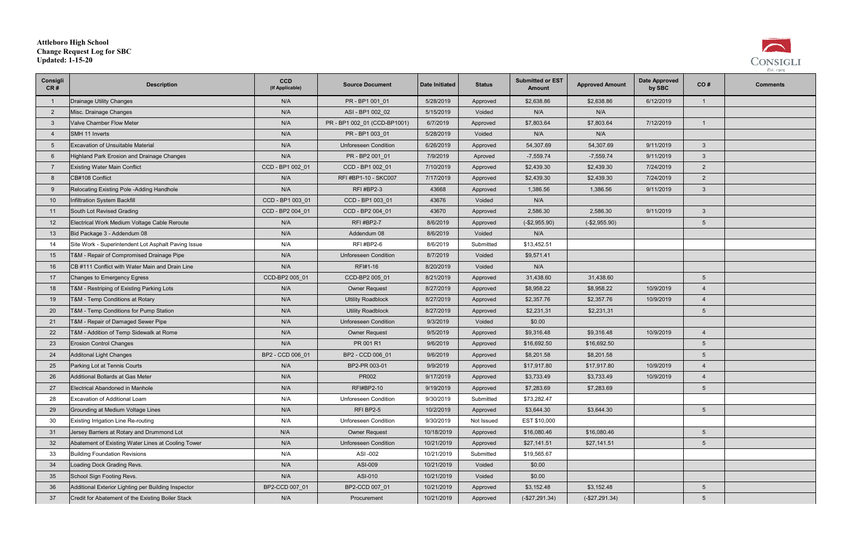| Consigli<br>CR# | <b>Description</b>                                     | <b>CCD</b><br>(If Applicable) | <b>Source Document</b>       | Date Initiated | <b>Status</b> | <b>Submitted or EST</b><br><b>Amount</b> | <b>Approved Amount</b> | <b>Date Approved</b><br>by SBC | CO#             | <b>Comments</b> |
|-----------------|--------------------------------------------------------|-------------------------------|------------------------------|----------------|---------------|------------------------------------------|------------------------|--------------------------------|-----------------|-----------------|
|                 | Drainage Utility Changes                               | N/A                           | PR-BP100101                  | 5/28/2019      | Approved      | \$2,638.86                               | \$2,638.86             | 6/12/2019                      | $\mathbf{1}$    |                 |
| $\overline{2}$  | Misc. Drainage Changes                                 | N/A                           | ASI - BP1 002 02             | 5/15/2019      | Voided        | N/A                                      | N/A                    |                                |                 |                 |
| -3              | Valve Chamber Flow Meter                               | N/A                           | PR - BP1 002_01 (CCD-BP1001) | 6/7/2019       | Approved      | \$7,803.64                               | \$7,803.64             | 7/12/2019                      | $\overline{1}$  |                 |
|                 | SMH 11 Inverts                                         | N/A                           | PR - BP1 003_01              | 5/28/2019      | Voided        | N/A                                      | N/A                    |                                |                 |                 |
| -5              | <b>Excavation of Unsuitable Material</b>               | N/A                           | <b>Unforeseen Condition</b>  | 6/26/2019      | Approved      | 54,307.69                                | 54,307.69              | 9/11/2019                      | $\mathbf{3}$    |                 |
|                 | Highland Park Erosion and Drainage Changes             | N/A                           | PR - BP2 001_01              | 7/9/2019       | Aproved       | $-7,559.74$                              | $-7,559.74$            | 9/11/2019                      | $\mathbf{3}$    |                 |
|                 | <b>Existing Water Main Conflict</b>                    | CCD - BP1 002 01              | CCD - BP1 002 01             | 7/10/2019      | Approved      | \$2,439.30                               | \$2,439.30             | 7/24/2019                      | $\overline{2}$  |                 |
| -8              | CB#108 Conflict                                        | N/A                           | RFI #BP1-10 - SKC007         | 7/17/2019      | Approved      | \$2,439.30                               | \$2,439.30             | 7/24/2019                      | $\overline{2}$  |                 |
| -9              | Relocating Existing Pole -Adding Handhole              | N/A                           | <b>RFI #BP2-3</b>            | 43668          | Approved      | 1,386.56                                 | 1,386.56               | 9/11/2019                      | $\mathbf{3}$    |                 |
| 10              | Infiltration System Backfill                           | CCD - BP1 003 01              | CCD - BP1 003 01             | 43676          | Voided        | N/A                                      |                        |                                |                 |                 |
| 11              | South Lot Revised Grading                              | CCD - BP2 004 01              | CCD - BP2 004 01             | 43670          | Approved      | 2,586.30                                 | 2,586.30               | 9/11/2019                      | $\mathbf{3}$    |                 |
| 12              | Electrical Work Medium Voltage Cable Reroute           | N/A                           | <b>RFI #BP2-7</b>            | 8/6/2019       | Approved      | $(-$2,955.90)$                           | $(-$2,955.90)$         |                                | $5\overline{)}$ |                 |
| 13              | Bid Package 3 - Addendum 08                            | N/A                           | Addendum 08                  | 8/6/2019       | Voided        | N/A                                      |                        |                                |                 |                 |
| 14              | Site Work - Superintendent Lot Asphalt Paving Issue    | N/A                           | <b>RFI #BP2-6</b>            | 8/6/2019       | Submitted     | \$13,452.51                              |                        |                                |                 |                 |
| 15              | T&M - Repair of Compromised Drainage Pipe              | N/A                           | <b>Unforeseen Condition</b>  | 8/7/2019       | Voided        | \$9,571.41                               |                        |                                |                 |                 |
| 16              | <b>CB #111 Conflict with Water Main and Drain Line</b> | N/A                           | RFI#1-16                     | 8/20/2019      | Voided        | N/A                                      |                        |                                |                 |                 |
| 17              | Changes to Emergency Egress                            | CCD-BP2 005 01                | CCD-BP2 005 01               | 8/21/2019      | Approved      | 31,438.60                                | 31,438.60              |                                | $5\overline{)}$ |                 |
| 18              | T&M - Restriping of Existing Parking Lots              | N/A                           | <b>Owner Request</b>         | 8/27/2019      | Approved      | \$8,958.22                               | \$8,958.22             | 10/9/2019                      | $\overline{4}$  |                 |
| 19              | T&M - Temp Conditions at Rotary                        | N/A                           | <b>Ultility Roadblock</b>    | 8/27/2019      | Approved      | \$2,357.76                               | \$2,357.76             | 10/9/2019                      | $\overline{4}$  |                 |
| 20              | T&M - Temp Conditions for Pump Station                 | N/A                           | <b>Utility Roadblock</b>     | 8/27/2019      | Approved      | \$2,231,31                               | \$2,231,31             |                                | $5\overline{)}$ |                 |
| 21              | T&M - Repair of Damaged Sewer Pipe                     | N/A                           | <b>Unforeseen Condition</b>  | 9/3/2019       | Voided        | \$0.00                                   |                        |                                |                 |                 |
| 22              | T&M - Addition of Temp Sidewalk at Rome                | N/A                           | <b>Owner Request</b>         | 9/5/2019       | Approved      | \$9,316.48                               | \$9,316.48             | 10/9/2019                      | $\overline{4}$  |                 |
| 23              | <b>Erosion Control Changes</b>                         | N/A                           | PR 001 R1                    | 9/6/2019       | Approved      | \$16,692.50                              | \$16,692.50            |                                | $5\phantom{.0}$ |                 |
| 24              | Additonal Light Changes                                | BP2 - CCD 006 01              | BP2 - CCD 006 01             | 9/6/2019       | Approved      | \$8,201.58                               | \$8,201.58             |                                | $5\overline{)}$ |                 |
| 25              | Parking Lot at Tennis Courts                           | N/A                           | BP2-PR 003-01                | 9/9/2019       | Approved      | \$17,917.80                              | \$17,917.80            | 10/9/2019                      | $\overline{4}$  |                 |
| 26              | Additional Bollards at Gas Meter                       | N/A                           | PR002                        | 9/17/2019      | Approved      | \$3,733.49                               | \$3,733.49             | 10/9/2019                      | $\overline{4}$  |                 |
| 27              | Electrical Abandoned in Manhole                        | N/A                           | <b>RFI#BP2-10</b>            | 9/19/2019      | Approved      | \$7,283.69                               | \$7,283.69             |                                | $5\overline{)}$ |                 |
| 28              | Excavation of Additional Loam                          | N/A                           | Unforeseen Condition         | 9/30/2019      | Submitted     | \$73,282.47                              |                        |                                |                 |                 |
| 29              | Grounding at Medium Voltage Lines                      | N/A                           | RFI BP2-5                    | 10/2/2019      | Approved      | \$3,644.30                               | \$3,644.30             |                                | $5\phantom{.0}$ |                 |
| 30              | Existing Irrigation Line Re-routing                    | N/A                           | <b>Unforeseen Condition</b>  | 9/30/2019      | Not Issued    | EST \$10,000                             |                        |                                |                 |                 |
| 31              | Jersey Barriers at Rotary and Drummond Lot             | N/A                           | <b>Owner Request</b>         | 10/18/2019     | Approved      | \$16,080.46                              | \$16,080.46            |                                | $5\phantom{.0}$ |                 |
| 32              | Abatement of Existing Water Lines at Cooling Tower     | N/A                           | <b>Unforeseen Condition</b>  | 10/21/2019     | Approved      | \$27,141.51                              | \$27,141.51            |                                | $5\phantom{.0}$ |                 |
| 33              | <b>Building Foundation Revisions</b>                   | N/A                           | ASI -002                     | 10/21/2019     | Submitted     | \$19,565.67                              |                        |                                |                 |                 |
| 34              | Loading Dock Grading Revs.                             | N/A                           | ASI-009                      | 10/21/2019     | Voided        | \$0.00                                   |                        |                                |                 |                 |
| 35              | School Sign Footing Revs.                              | N/A                           | ASI-010                      | 10/21/2019     | Voided        | \$0.00                                   |                        |                                |                 |                 |
| 36              | Additional Exterior Lighting per Building Inspector    | BP2-CCD 007_01                | BP2-CCD 007_01               | 10/21/2019     | Approved      | \$3,152.48                               | \$3,152.48             |                                | $5\phantom{.0}$ |                 |
| 37              | Credit for Abatement of the Existing Boiler Stack      | N/A                           | Procurement                  | 10/21/2019     | Approved      | $(-$27,291.34)$                          | $(-$27,291.34)$        |                                | $5\phantom{.0}$ |                 |



# **Attleboro High School Change Request Log for SBC Updated: 1-15-20**